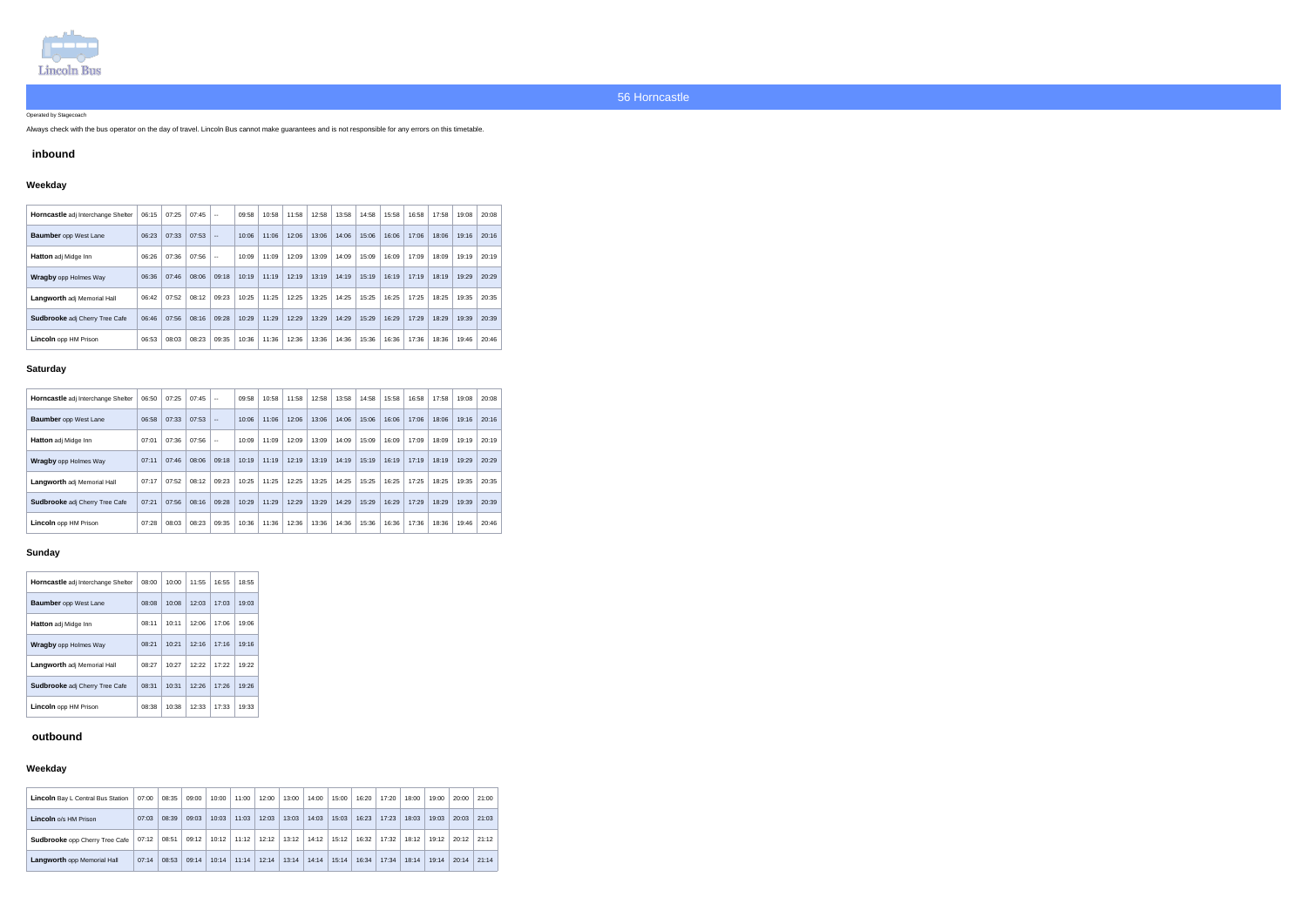

Operated by Stagecoach

Always check with the bus operator on the day of travel. Lincoln Bus cannot make guarantees and is not responsible for any errors on this timetable.

## **inbound**

# **Weekday**

| Horncastle adj Interchange Shelter    | 06:15 | 07:25 | 07:45 | $-$   | 09:58 | 10:58 | 11:58 | 12:58 | 13:58 | 14:58 | 15:58 | 16:58 | 17:58 | 19:08 | 20:08 |
|---------------------------------------|-------|-------|-------|-------|-------|-------|-------|-------|-------|-------|-------|-------|-------|-------|-------|
| <b>Baumber</b> opp West Lane          | 06:23 | 07:33 | 07:53 | $- -$ | 10:06 | 11:06 | 12:06 | 13:06 | 14:06 | 15:06 | 16:06 | 17:06 | 18:06 | 19:16 | 20:16 |
| <b>Hatton</b> adj Midge Inn           | 06:26 | 07:36 | 07:56 | $- -$ | 10:09 | 11:09 | 12:09 | 13:09 | 14:09 | 15:09 | 16:09 | 17:09 | 18:09 | 19:19 | 20:19 |
| <b>Wragby</b> opp Holmes Way          | 06:36 | 07:46 | 08:06 | 09:18 | 10:19 | 11:19 | 12:19 | 13:19 | 14:19 | 15:19 | 16:19 | 17:19 | 18:19 | 19:29 | 20:29 |
| <b>Langworth adj Memorial Hall</b>    | 06:42 | 07:52 | 08:12 | 09:23 | 10:25 | 11:25 | 12:25 | 13:25 | 14:25 | 15:25 | 16:25 | 17:25 | 18:25 | 19:35 | 20:35 |
| <b>Sudbrooke</b> adj Cherry Tree Cafe | 06:46 | 07:56 | 08:16 | 09:28 | 10:29 | 11:29 | 12:29 | 13:29 | 14:29 | 15:29 | 16:29 | 17:29 | 18:29 | 19:39 | 20:39 |
| <b>Lincoln</b> opp HM Prison          | 06:53 | 08:03 | 08:23 | 09:35 | 10:36 | 11:36 | 12:36 | 13:36 | 14:36 | 15:36 | 16:36 | 17:36 | 18:36 | 19:46 | 20:46 |

### **Saturday**

| Horncastle adj Interchange Shelter    | 06:50 | 07:25 | 07:45 | $\sim$ $\sim$ | 09:58 | 10:58 | 11:58 | 12:58 | 13:58 | 14:58 | 15:58 | 16:58 | 17:58 | 19:08 | 20:08 |
|---------------------------------------|-------|-------|-------|---------------|-------|-------|-------|-------|-------|-------|-------|-------|-------|-------|-------|
| <b>Baumber</b> opp West Lane          | 06:58 | 07:33 | 07:53 | $- -$         | 10:06 | 11:06 | 12:06 | 13:06 | 14:06 | 15:06 | 16:06 | 17:06 | 18:06 | 19:16 | 20:16 |
| <b>Hatton</b> adj Midge Inn           | 07:01 | 07:36 | 07:56 | $-$           | 10:09 | 11:09 | 12:09 | 13:09 | 14:09 | 15:09 | 16:09 | 17:09 | 18:09 | 19:19 | 20:19 |
| <b>Wragby</b> opp Holmes Way          | 07:11 | 07:46 | 08:06 | 09:18         | 10:19 | 11:19 | 12:19 | 13:19 | 14:19 | 15:19 | 16:19 | 17:19 | 18:19 | 19:29 | 20:29 |
| Langworth adj Memorial Hall           | 07:17 | 07:52 | 08:12 | 09:23         | 10:25 | 11:25 | 12:25 | 13:25 | 14:25 | 15:25 | 16:25 | 17:25 | 18:25 | 19:35 | 20:35 |
| <b>Sudbrooke</b> adj Cherry Tree Cafe | 07:21 | 07:56 | 08:16 | 09:28         | 10:29 | 11:29 | 12:29 | 13:29 | 14:29 | 15:29 | 16:29 | 17:29 | 18:29 | 19:39 | 20:39 |
| <b>Lincoln</b> opp HM Prison          | 07:28 | 08:03 | 08:23 | 09:35         | 10:36 | 11:36 | 12:36 | 13:36 | 14:36 | 15:36 | 16:36 | 17:36 | 18:36 | 19:46 | 20:46 |

### **Sunday**

| <b>Horncastle</b> adj Interchange Shelter | 08:00 | 10:00 | 11:55 | 16:55 | 18:55 |
|-------------------------------------------|-------|-------|-------|-------|-------|
| <b>Baumber</b> opp West Lane              | 08:08 | 10:08 | 12:03 | 17:03 | 19:03 |
| <b>Hatton</b> adj Midge Inn               | 08:11 | 10:11 | 12:06 | 17:06 | 19:06 |
| <b>Wragby</b> opp Holmes Way              | 08:21 | 10:21 | 12:16 | 17:16 | 19:16 |
| <b>Langworth</b> adj Memorial Hall        | 08:27 | 10:27 | 12:22 | 17:22 | 19:22 |
| <b>Sudbrooke</b> adj Cherry Tree Cafe     | 08:31 | 10.31 | 12:26 | 17:26 | 19:26 |
| <b>Lincoln</b> opp HM Prison              | 08:38 | 10:38 | 12:33 | 17:33 | 19:33 |

# **outbound**

### **Weekday**

| Lincoln Bay L Central Bus Station     | 07:00 | 08:35 | 09:00 | 10:00 | 11:00 | 12:00 | 13:00 | 14:00 | 15:00 | 16:20 | 17:20 | 18:00 | 19:00 | 20:00 | 21:00 |
|---------------------------------------|-------|-------|-------|-------|-------|-------|-------|-------|-------|-------|-------|-------|-------|-------|-------|
| <b>Lincoln</b> o/s HM Prison          | 07:03 | 08:39 | 09:03 | 10:03 | 11:03 | 12:03 | 13:03 | 14:03 | 15:03 | 16:23 | 17:23 | 18:03 | 19:03 | 20:03 | 21:03 |
| <b>Sudbrooke</b> opp Cherry Tree Cafe | 07:12 | 08:51 | 09:12 | 10:12 | 11:12 | 12:12 | 13:12 | 14:12 | 15:12 | 16:32 | 17:32 | 18:12 | 19:12 | 20:12 | 21:12 |
| Langworth opp Memorial Hall           | 07:14 | 08:53 | 09:14 | 10:14 | 11:14 | 12:14 | 13:14 | 14:14 | 15:14 | 16:34 | 17:34 | 18:14 | 19:14 | 20:14 | 21:14 |